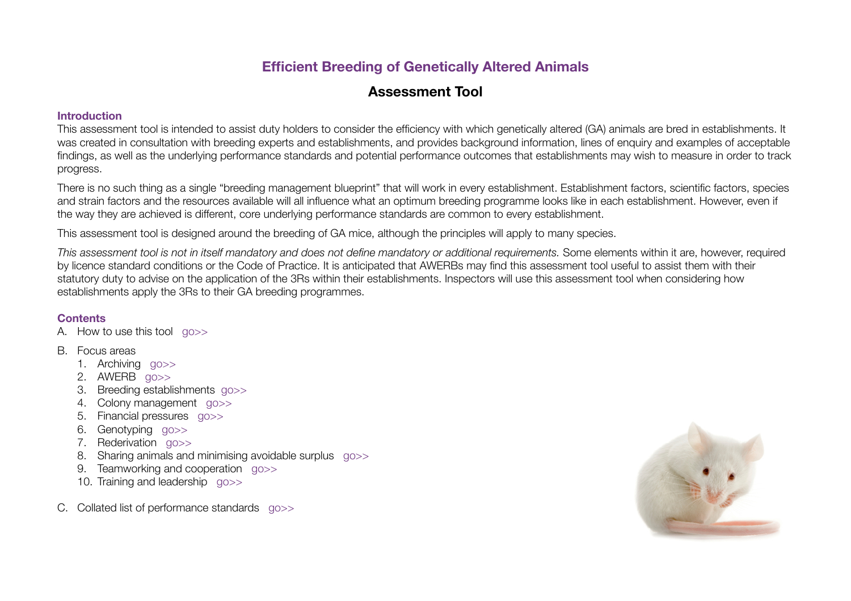# **Efficient Breeding of Genetically Altered Animals**

# **Assessment Tool**

#### **Introduction**

This assessment tool is intended to assist duty holders to consider the efficiency with which genetically altered (GA) animals are bred in establishments. It was created in consultation with breeding experts and establishments, and provides background information, lines of enquiry and examples of acceptable findings, as well as the underlying performance standards and potential performance outcomes that establishments may wish to measure in order to track progress.

There is no such thing as a single "breeding management blueprint" that will work in every establishment. Establishment factors, scientific factors, species and strain factors and the resources available will all influence what an optimum breeding programme looks like in each establishment. However, even if the way they are achieved is different, core underlying performance standards are common to every establishment.

This assessment tool is designed around the breeding of GA mice, although the principles will apply to many species.

*This assessment tool is not in itself mandatory and does not define mandatory or additional requirements.* Some elements within it are, however, required by licence standard conditions or the Code of Practice. It is anticipated that AWERBs may find this assessment tool useful to assist them with their statutory duty to advise on the application of the 3Rs within their establishments. Inspectors will use this assessment tool when considering how establishments apply the 3Rs to their GA breeding programmes.

# <span id="page-0-0"></span>**Contents**

A. How to use this tool [go>>](#page-1-0)

### B. Focus areas

- 1. Archiving [go>>](#page-2-0)
- 2. AWERB [go>>](#page-4-0)
- 3. Breeding establishments [go>>](#page-5-0)
- 4. Colony management [go>>](#page-6-0)
- 5. Financial pressures [go>>](#page-10-0)
- 6. Genotyping [go>>](#page-11-0)
- 7. Rederivation [go>>](#page-13-0)
- 8. Sharing animals and minimising avoidable surplus [go>>](#page-15-0)
- 9. Teamworking and cooperation [go>>](#page-17-0)
- 10. Training and leadership [go>>](#page-20-0)
- C. Collated list of performance standards [go>>](#page-22-0)

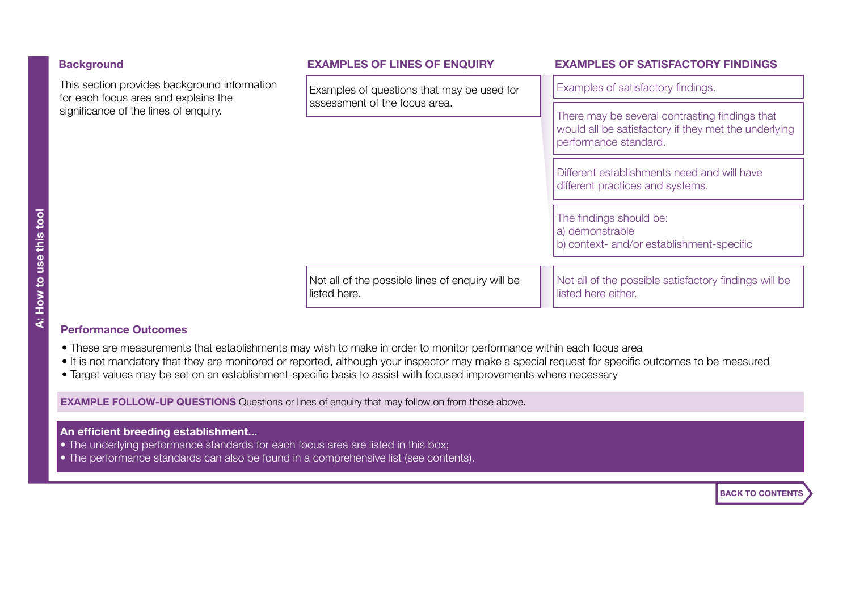<span id="page-1-0"></span>

| <b>Background</b>                                                                                                             | <b>EXAMPLES OF LINES OF ENQUIRY</b>                                         | <b>EXAMPLES OF SATISFACTORY FINDINGS</b>                                                                                        |
|-------------------------------------------------------------------------------------------------------------------------------|-----------------------------------------------------------------------------|---------------------------------------------------------------------------------------------------------------------------------|
| This section provides background information<br>for each focus area and explains the<br>significance of the lines of enquiry. | Examples of questions that may be used for<br>assessment of the focus area. | Examples of satisfactory findings.                                                                                              |
|                                                                                                                               |                                                                             | There may be several contrasting findings that<br>would all be satisfactory if they met the underlying<br>performance standard. |
|                                                                                                                               |                                                                             | Different establishments need and will have<br>different practices and systems.                                                 |
|                                                                                                                               |                                                                             | The findings should be:<br>a) demonstrable<br>b) context- and/or establishment-specific                                         |
|                                                                                                                               | Not all of the possible lines of enquiry will be<br>listed here.            | Not all of the possible satisfactory findings will be<br>listed here either.                                                    |

### **Performance Outcomes**

- These are measurements that establishments may wish to make in order to monitor performance within each focus area
- It is not mandatory that they are monitored or reported, although your inspector may make a special request for specific outcomes to be measured
- Target values may be set on an establishment-specific basis to assist with focused improvements where necessary

**EXAMPLE FOLLOW-UP QUESTIONS** Questions or lines of enquiry that may follow on from those above.

# **An efficient breeding establishment...**

- The underlying performance standards for each focus area are listed in this box;
- The performance standards can also be found in a comprehensive list (see contents).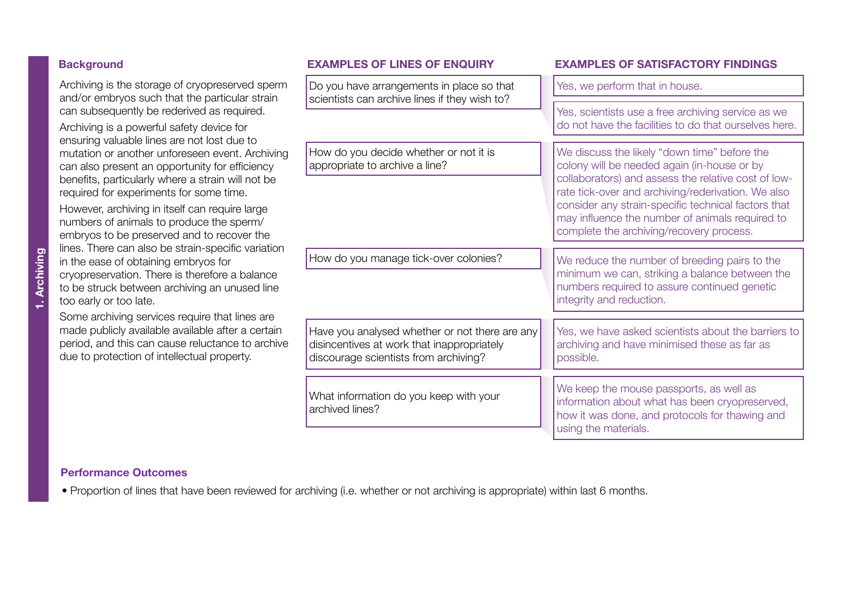# <span id="page-2-0"></span>**Background**

Archiving is the storage of cryopreserved sperm and/or embryos such that the particular strain can subsequently be rederived as required.

Archiving is a powerful safety device for ensuring valuable lines are not lost due to mutation or another unforeseen event. Archiving can also present an opportunity for efficiency benefits, particularly where a strain will not be required for experiments for some time.

However, archiving in itself can require large numbers of animals to produce the sperm/ embryos to be preserved and to recover the lines. There can also be strain-specific variation in the ease of obtaining embryos for cryopreservation. There is therefore a balance to be struck between archiving an unused line too early or too late.

Some archiving services require that lines are made publicly available available after a certain period, and this can cause reluctance to archive due to protection of intellectual property.

| Do you have arrangements in place so that<br>scientists can archive lines if they wish to?                                            | Yes, we perform that in house.                                                                                                                                                                                                                                                                                                                                 |
|---------------------------------------------------------------------------------------------------------------------------------------|----------------------------------------------------------------------------------------------------------------------------------------------------------------------------------------------------------------------------------------------------------------------------------------------------------------------------------------------------------------|
|                                                                                                                                       | Yes, scientists use a free archiving service as we<br>do not have the facilities to do that ourselves here.                                                                                                                                                                                                                                                    |
| How do you decide whether or not it is<br>appropriate to archive a line?                                                              | We discuss the likely "down time" before the<br>colony will be needed again (in-house or by<br>collaborators) and assess the relative cost of low-<br>rate tick-over and archiving/rederivation. We also<br>consider any strain-specific technical factors that<br>may influence the number of animals required to<br>complete the archiving/recovery process. |
| How do you manage tick-over colonies?                                                                                                 | We reduce the number of breeding pairs to the<br>minimum we can, striking a balance between the<br>numbers required to assure continued genetic<br>integrity and reduction.                                                                                                                                                                                    |
| Have you analysed whether or not there are any<br>disincentives at work that inappropriately<br>discourage scientists from archiving? | Yes, we have asked scientists about the barriers to<br>archiving and have minimised these as far as<br>possible.                                                                                                                                                                                                                                               |
| What information do you keep with your<br>archived lines?                                                                             | We keep the mouse passports, as well as<br>information about what has been cryopreserved,<br>how it was done, and protocols for thawing and<br>using the materials.                                                                                                                                                                                            |

#### **Performance Outcomes**

• Proportion of lines that have been reviewed for archiving (i.e. whether or not archiving is appropriate) within last 6 months.

#### **Background EXAMPLES OF LINES OF ENQUIRY EXAMPLES OF SATISFACTORY FINDINGS**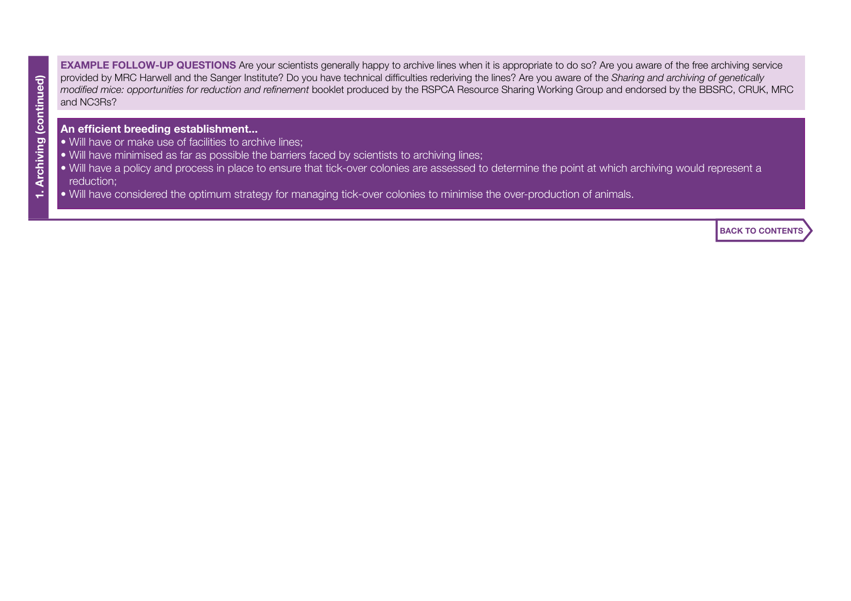**EXAMPLE FOLLOW-UP QUESTIONS** Are your scientists generally happy to archive lines when it is appropriate to do so? Are you aware of the free archiving service provided by MRC Harwell and the Sanger Institute? Do you have technical difficulties rederiving the lines? Are you aware of the *Sharing and archiving of genetically modified mice: opportunities for reduction and refinement* booklet produced by the RSPCA Resource Sharing Working Group and endorsed by the BBSRC, CRUK, MRC and NC3Rs?

#### **An efficient breeding establishment...**

- Will have or make use of facilities to archive lines;
- Will have minimised as far as possible the barriers faced by scientists to archiving lines;
- Will have a policy and process in place to ensure that tick-over colonies are assessed to determine the point at which archiving would represent a reduction;
- Will have considered the optimum strategy for managing tick-over colonies to minimise the over-production of animals.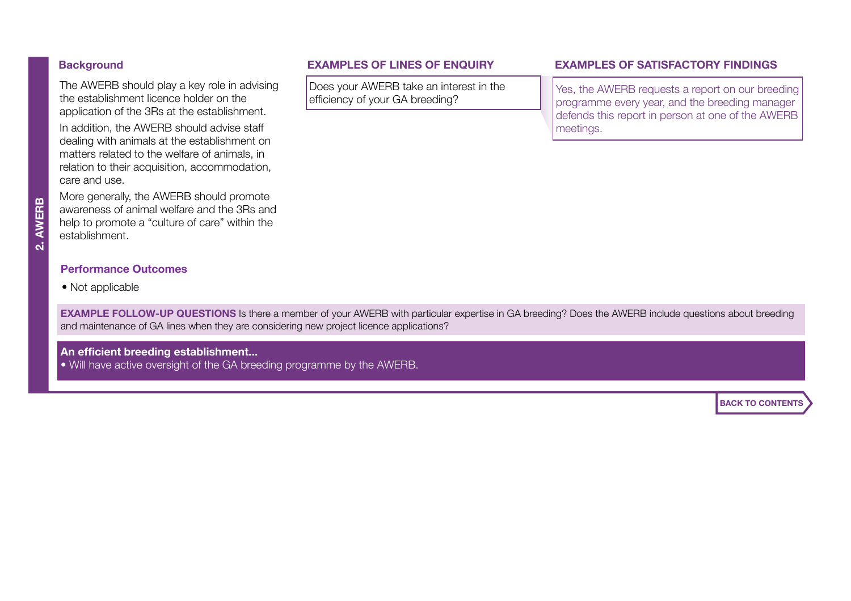# <span id="page-4-0"></span>**Background**

The AWERB should play a key role in advising the establishment licence holder on the application of the 3Rs at the establishment. In addition, the AWERB should advise staff dealing with animals at the establishment on matters related to the welfare of animals, in relation to their acquisition, accommodation, care and use.

More generally, the AWERB should promote awareness of animal welfare and the 3Rs and help to promote a "culture of care" within the establishment.

#### **Performance Outcomes**

• Not applicable

Does your AWERB take an interest in the efficiency of your GA breeding?

### **Background EXAMPLES OF LINES OF ENQUIRY EXAMPLES OF SATISFACTORY FINDINGS**

Yes, the AWERB requests a report on our breeding programme every year, and the breeding manager defends this report in person at one of the AWERB meetings.

**EXAMPLE FOLLOW-UP QUESTIONS** Is there a member of your AWERB with particular expertise in GA breeding? Does the AWERB include questions about breeding and maintenance of GA lines when they are considering new project licence applications?

**An efficient breeding establishment...**

• Will have active oversight of the GA breeding programme by the AWERB.

**AWERB 2. AWERB**  $\overline{a}$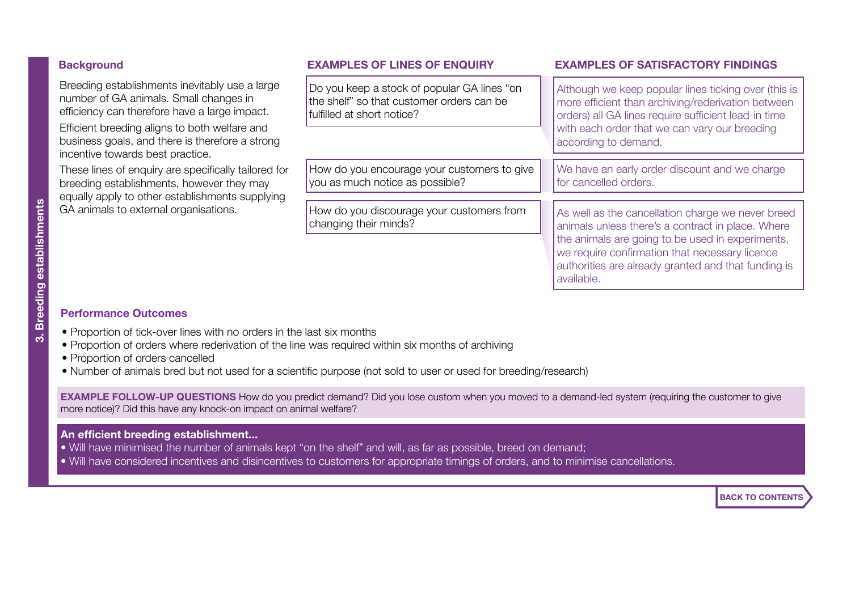<span id="page-5-0"></span>

| <b>Background</b> |  |
|-------------------|--|
|-------------------|--|

| <b>EXAMPLES OF LINES OF ENQUIRY</b>                                                                                    | <b>EXAMPLES OF SATISFACTORY FINDINGS</b>                                                                                                                                                                     |
|------------------------------------------------------------------------------------------------------------------------|--------------------------------------------------------------------------------------------------------------------------------------------------------------------------------------------------------------|
| Do you keep a stock of popular GA lines "on<br>the shelf" so that customer orders can be<br>fulfilled at short notice? | Although we keep popular lines ticking over (this is<br>more efficient than archiving/rederivation between<br>orders) all GA lines require sufficient lead-in time                                           |
|                                                                                                                        | with each order that we can vary our breeding<br>according to demand.                                                                                                                                        |
| How do you encourage your customers to give<br>you as much notice as possible?                                         | We have an early order discount and we charge<br>for cancelled orders.                                                                                                                                       |
|                                                                                                                        |                                                                                                                                                                                                              |
| changing their minds?                                                                                                  | As well as the cancellation charge we never breed<br>animals unless there's a contract in place. Where<br>the animals are going to be used in experiments,<br>we require confirmation that necessary licence |
|                                                                                                                        | How do you discourage your customers from                                                                                                                                                                    |

available.

### **Performance Outcomes**

- Proportion of tick-over lines with no orders in the last six months
- Proportion of orders where rederivation of the line was required within six months of archiving
- Proportion of orders cancelled
- Number of animals bred but not used for a scientific purpose (not sold to user or used for breeding/research)

**EXAMPLE FOLLOW-UP QUESTIONS** How do you predict demand? Did you lose custom when you moved to a demand-led system (requiring the customer to give more notice)? Did this have any knock-on impact on animal welfare?

#### **An efficient breeding establishment...**

- Will have minimised the number of animals kept "on the shelf" and will, as far as possible, breed on demand;
- Will have considered incentives and disincentives to customers for appropriate timings of orders, and to minimise cancellations.

**[BACK TO CONTENTS](#page-0-0)**

authorities are already granted and that funding is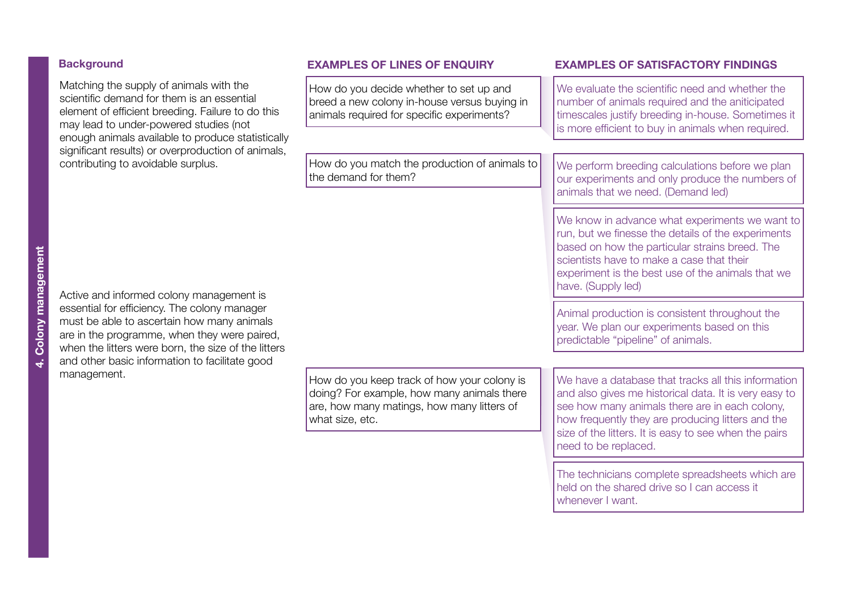#### <span id="page-6-0"></span>**Background**

Matching the supply of animals with the scientific demand for them is an essential element of efficient breeding. Failure to do this may lead to under-powered studies (not enough animals available to produce statistically significant results) or overproduction of animals, contributing to avoidable surplus.

How do you decide whether to set up and breed a new colony in-house versus buying in animals required for specific experiments?

How do you match the production of animals to the demand for them?

#### **Background EXAMPLES OF LINES OF ENQUIRY EXAMPLES OF SATISFACTORY FINDINGS**

We evaluate the scientific need and whether the number of animals required and the aniticipated timescales justify breeding in-house. Sometimes it is more efficient to buy in animals when required.

We perform breeding calculations before we plan our experiments and only produce the numbers of animals that we need. (Demand led)

We know in advance what experiments we want to run, but we finesse the details of the experiments based on how the particular strains breed. The scientists have to make a case that their experiment is the best use of the animals that we have. (Supply led)

Animal production is consistent throughout the year. We plan our experiments based on this predictable "pipeline" of animals.

We have a database that tracks all this information and also gives me historical data. It is very easy to see how many animals there are in each colony, how frequently they are producing litters and the size of the litters. It is easy to see when the pairs need to be replaced.

The technicians complete spreadsheets which are held on the shared drive so I can access it whenever I want.

**4. Colony management**

Colony management

Active and informed colony management is essential for efficiency. The colony manager must be able to ascertain how many animals are in the programme, when they were paired, when the litters were born, the size of the litters and other basic information to facilitate good management.

How do you keep track of how your colony is doing? For example, how many animals there are, how many matings, how many litters of what size, etc.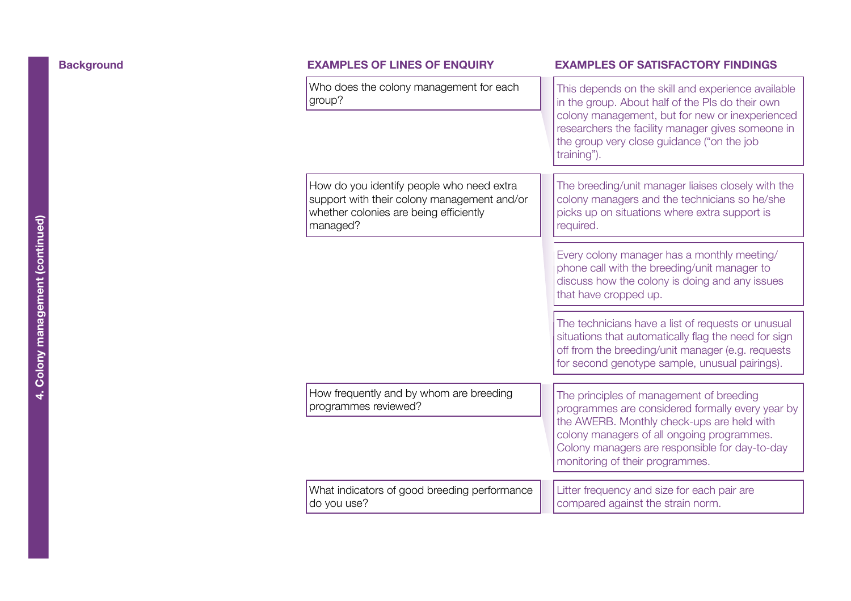| <b>Background</b> | <b>EXAMPLES OF LINES OF ENQUIRY</b>                                                                                                            | <b>EXAMPLES OF SATISFACTORY FINDINGS</b>                                                                                                                                                                                                                                      |
|-------------------|------------------------------------------------------------------------------------------------------------------------------------------------|-------------------------------------------------------------------------------------------------------------------------------------------------------------------------------------------------------------------------------------------------------------------------------|
|                   | Who does the colony management for each<br>group?                                                                                              | This depends on the skill and experience available<br>in the group. About half of the PIs do their own<br>colony management, but for new or inexperienced<br>researchers the facility manager gives someone in<br>the group very close guidance ("on the job<br>training").   |
|                   | How do you identify people who need extra<br>support with their colony management and/or<br>whether colonies are being efficiently<br>managed? | The breeding/unit manager liaises closely with the<br>colony managers and the technicians so he/she<br>picks up on situations where extra support is<br>required.                                                                                                             |
|                   |                                                                                                                                                | Every colony manager has a monthly meeting/<br>phone call with the breeding/unit manager to<br>discuss how the colony is doing and any issues<br>that have cropped up.                                                                                                        |
|                   |                                                                                                                                                | The technicians have a list of requests or unusual<br>situations that automatically flag the need for sign<br>off from the breeding/unit manager (e.g. requests<br>for second genotype sample, unusual pairings).                                                             |
|                   | How frequently and by whom are breeding<br>programmes reviewed?                                                                                | The principles of management of breeding<br>programmes are considered formally every year by<br>the AWERB. Monthly check-ups are held with<br>colony managers of all ongoing programmes.<br>Colony managers are responsible for day-to-day<br>monitoring of their programmes. |
|                   | What indicators of good breeding performance<br>do you use?                                                                                    | Litter frequency and size for each pair are<br>compared against the strain norm.                                                                                                                                                                                              |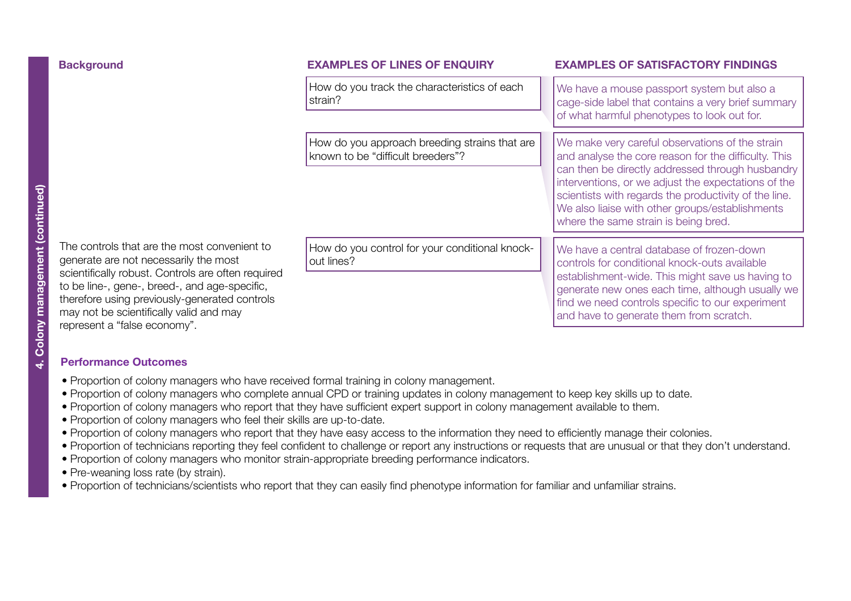| <b>Background</b>                                                                                                                                                                                                                                                                        | <b>EXAMPLES OF LINES OF ENQUIRY</b>                                                | <b>EXAMPLES OF SATISFACTORY FINDINGS</b>                                                                                                                                                                                                                                                                                                                               |
|------------------------------------------------------------------------------------------------------------------------------------------------------------------------------------------------------------------------------------------------------------------------------------------|------------------------------------------------------------------------------------|------------------------------------------------------------------------------------------------------------------------------------------------------------------------------------------------------------------------------------------------------------------------------------------------------------------------------------------------------------------------|
|                                                                                                                                                                                                                                                                                          | How do you track the characteristics of each<br>strain?                            | We have a mouse passport system but also a<br>cage-side label that contains a very brief summary<br>of what harmful phenotypes to look out for.                                                                                                                                                                                                                        |
|                                                                                                                                                                                                                                                                                          | How do you approach breeding strains that are<br>known to be "difficult breeders"? | We make very careful observations of the strain<br>and analyse the core reason for the difficulty. This<br>can then be directly addressed through husbandry<br>interventions, or we adjust the expectations of the<br>scientists with regards the productivity of the line.<br>We also liaise with other groups/establishments<br>where the same strain is being bred. |
| The controls that are the most convenient to<br>generate are not necessarily the most<br>scientifically robust. Controls are often required<br>to be line-, gene-, breed-, and age-specific,<br>therefore using previously-generated controls<br>may not be scientifically valid and may | How do you control for your conditional knock-<br>out lines?                       | We have a central database of frozen-down<br>controls for conditional knock-outs available<br>establishment-wide. This might save us having to<br>generate new ones each time, although usually we<br>find we need controls specific to our experiment<br>and have to generate them from scratch.                                                                      |

#### **Performance Outcomes**

represent a "false economy".

- Proportion of colony managers who have received formal training in colony management.
- Proportion of colony managers who complete annual CPD or training updates in colony management to keep key skills up to date.
- Proportion of colony managers who report that they have sufficient expert support in colony management available to them.
- Proportion of colony managers who feel their skills are up-to-date.
- Proportion of colony managers who report that they have easy access to the information they need to efficiently manage their colonies.
- Proportion of technicians reporting they feel confident to challenge or report any instructions or requests that are unusual or that they don't understand.
- Proportion of colony managers who monitor strain-appropriate breeding performance indicators.
- Pre-weaning loss rate (by strain).
- Proportion of technicians/scientists who report that they can easily find phenotype information for familiar and unfamiliar strains.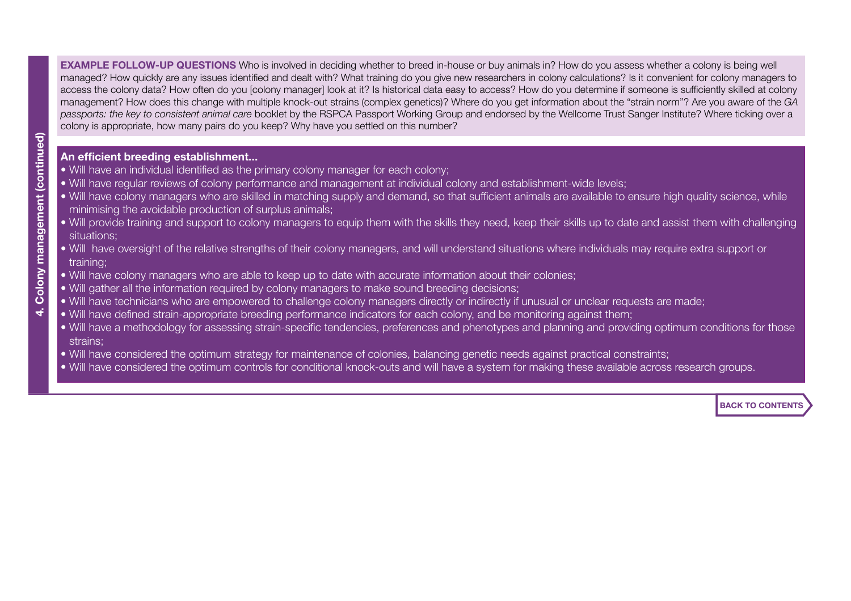**EXAMPLE FOLLOW-UP QUESTIONS** Who is involved in deciding whether to breed in-house or buy animals in? How do you assess whether a colony is being well managed? How quickly are any issues identified and dealt with? What training do you give new researchers in colony calculations? Is it convenient for colony managers to access the colony data? How often do you [colony manager] look at it? Is historical data easy to access? How do you determine if someone is sufficiently skilled at colony management? How does this change with multiple knock-out strains (complex genetics)? Where do you get information about the "strain norm"? Are you aware of the *GA passports: the key to consistent animal care* booklet by the RSPCA Passport Working Group and endorsed by the Wellcome Trust Sanger Institute? Where ticking over a colony is appropriate, how many pairs do you keep? Why have you settled on this number?

### **An efficient breeding establishment...**

- Will have an individual identified as the primary colony manager for each colony;
- Will have regular reviews of colony performance and management at individual colony and establishment-wide levels;
- Will have colony managers who are skilled in matching supply and demand, so that sufficient animals are available to ensure high quality science, while minimising the avoidable production of surplus animals;
- Will provide training and support to colony managers to equip them with the skills they need, keep their skills up to date and assist them with challenging situations;
- Will have oversight of the relative strengths of their colony managers, and will understand situations where individuals may require extra support or training;
- Will have colony managers who are able to keep up to date with accurate information about their colonies;
- Will gather all the information required by colony managers to make sound breeding decisions;
- Will have technicians who are empowered to challenge colony managers directly or indirectly if unusual or unclear requests are made;
- Will have defined strain-appropriate breeding performance indicators for each colony, and be monitoring against them;
- Will have a methodology for assessing strain-specific tendencies, preferences and phenotypes and planning and providing optimum conditions for those strains;
- Will have considered the optimum strategy for maintenance of colonies, balancing genetic needs against practical constraints;
- Will have considered the optimum controls for conditional knock-outs and will have a system for making these available across research groups.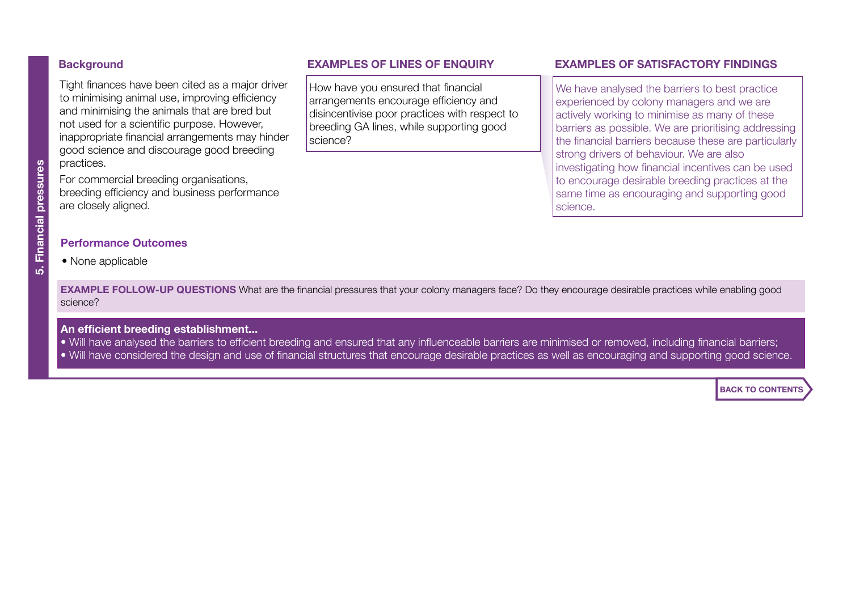Tight finances have been cited as a major driver to minimising animal use, improving efficiency and minimising the animals that are bred but not used for a scientific purpose. However, inappropriate financial arrangements may hinder good science and discourage good breeding practices.

For commercial breeding organisations, breeding efficiency and business performance are closely aligned.

How have you ensured that financial arrangements encourage efficiency and disincentivise poor practices with respect to breeding GA lines, while supporting good science?

### <span id="page-10-0"></span>**Background** FINANCIAL PRESSURES OF LINES OF ENQUIRY **EXAMPLES OF SATISFACTORY FINDINGS**

We have analysed the barriers to best practice experienced by colony managers and we are actively working to minimise as many of these barriers as possible. We are prioritising addressing the financial barriers because these are particularly strong drivers of behaviour. We are also investigating how financial incentives can be used to encourage desirable breeding practices at the same time as encouraging and supporting good science.

#### **Performance Outcomes**

• None applicable

**EXAMPLE FOLLOW-UP QUESTIONS** What are the financial pressures that your colony managers face? Do they encourage desirable practices while enabling good science?

#### **An efficient breeding establishment...**

- Will have analysed the barriers to efficient breeding and ensured that any influenceable barriers are minimised or removed, including financial barriers;
- Will have considered the design and use of financial structures that encourage desirable practices as well as encouraging and supporting good science.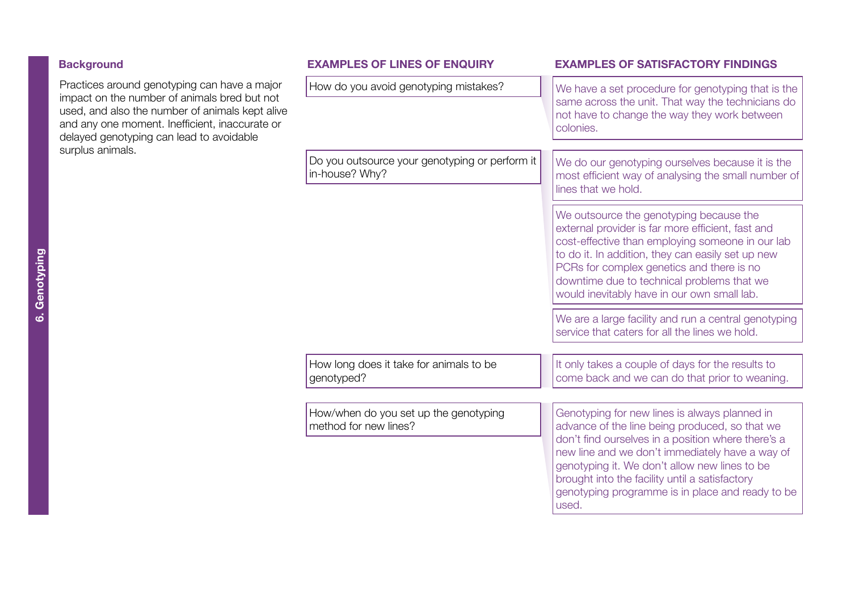<span id="page-11-0"></span>

| <b>Background</b>                                                                                                                                                                                                                                                 | <b>EXAMPLES OF LINES OF ENQUIRY</b>                              | <b>EXAMPLES OF SATISFACTORY FINDINGS</b>                                                                                                                                                                                                                                                                                                                                 |
|-------------------------------------------------------------------------------------------------------------------------------------------------------------------------------------------------------------------------------------------------------------------|------------------------------------------------------------------|--------------------------------------------------------------------------------------------------------------------------------------------------------------------------------------------------------------------------------------------------------------------------------------------------------------------------------------------------------------------------|
| Practices around genotyping can have a major<br>impact on the number of animals bred but not<br>used, and also the number of animals kept alive<br>and any one moment. Inefficient, inaccurate or<br>delayed genotyping can lead to avoidable<br>surplus animals. | How do you avoid genotyping mistakes?                            | We have a set procedure for genotyping that is the<br>same across the unit. That way the technicians do<br>not have to change the way they work between<br>colonies.                                                                                                                                                                                                     |
|                                                                                                                                                                                                                                                                   | Do you outsource your genotyping or perform it<br>in-house? Why? | We do our genotyping ourselves because it is the<br>most efficient way of analysing the small number of<br>lines that we hold.                                                                                                                                                                                                                                           |
|                                                                                                                                                                                                                                                                   |                                                                  | We outsource the genotyping because the<br>external provider is far more efficient, fast and<br>cost-effective than employing someone in our lab<br>to do it. In addition, they can easily set up new<br>PCRs for complex genetics and there is no<br>downtime due to technical problems that we<br>would inevitably have in our own small lab.                          |
|                                                                                                                                                                                                                                                                   |                                                                  | We are a large facility and run a central genotyping<br>service that caters for all the lines we hold.                                                                                                                                                                                                                                                                   |
|                                                                                                                                                                                                                                                                   | How long does it take for animals to be<br>genotyped?            | It only takes a couple of days for the results to<br>come back and we can do that prior to weaning.                                                                                                                                                                                                                                                                      |
|                                                                                                                                                                                                                                                                   | How/when do you set up the genotyping<br>method for new lines?   | Genotyping for new lines is always planned in<br>advance of the line being produced, so that we<br>don't find ourselves in a position where there's a<br>new line and we don't immediately have a way of<br>genotyping it. We don't allow new lines to be<br>brought into the facility until a satisfactory<br>genotyping programme is in place and ready to be<br>used. |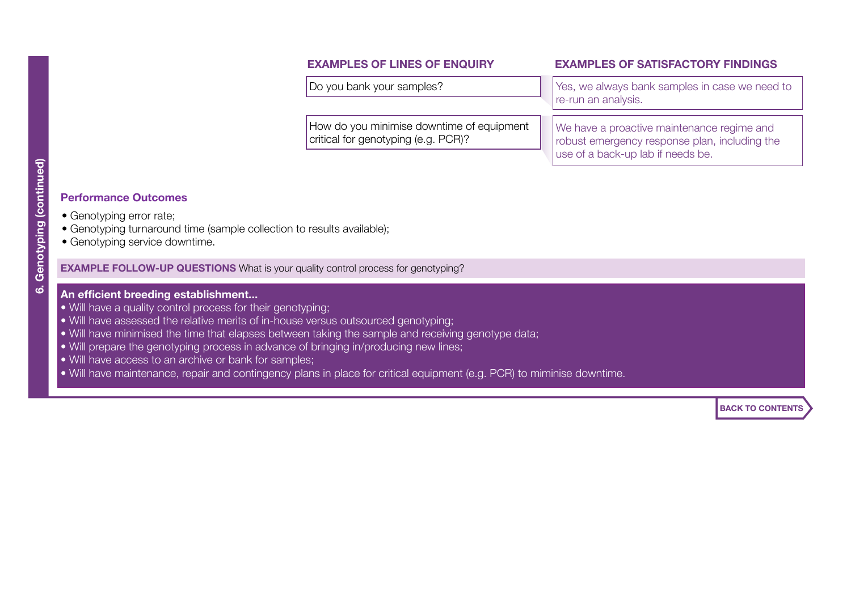How do you minimise downtime of equipment critical for genotyping (e.g. PCR)?

#### **EXAMPLES OF LINES OF ENQUIRY EXAMPLES OF SATISFACTORY FINDINGS**

Do you bank your samples?  $\vert \vert$  Yes, we always bank samples in case we need to re-run an analysis.

> We have a proactive maintenance regime and robust emergency response plan, including the use of a back-up lab if needs be.

ය

## **Performance Outcomes**

- Genotyping error rate;
- Genotyping turnaround time (sample collection to results available);
- Genotyping service downtime.

**EXAMPLE FOLLOW-UP QUESTIONS** What is your quality control process for genotyping?

### **An efficient breeding establishment...**

- Will have a quality control process for their genotyping;
- Will have assessed the relative merits of in-house versus outsourced genotyping;
- Will have minimised the time that elapses between taking the sample and receiving genotype data;
- Will prepare the genotyping process in advance of bringing in/producing new lines;
- Will have access to an archive or bank for samples;
- Will have maintenance, repair and contingency plans in place for critical equipment (e.g. PCR) to miminise downtime.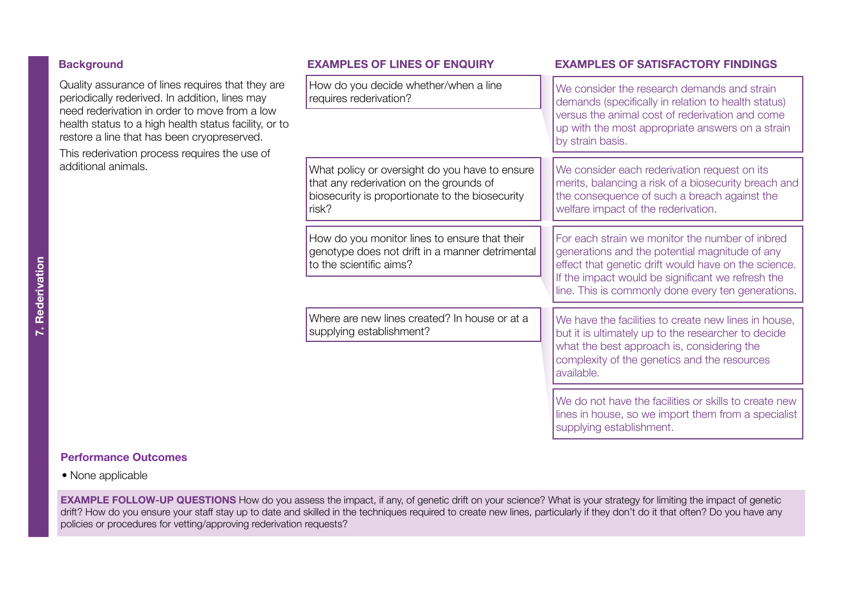<span id="page-13-0"></span>

| <b>Background</b>                                                                                                                                                                                                                                                                                                                    | <b>EXAMPLES OF LINES OF ENQUIRY</b>                                                                                                                   | <b>EXAMPLES OF SATISFACTORY FINDINGS</b>                                                                                                                                                                                                                             |
|--------------------------------------------------------------------------------------------------------------------------------------------------------------------------------------------------------------------------------------------------------------------------------------------------------------------------------------|-------------------------------------------------------------------------------------------------------------------------------------------------------|----------------------------------------------------------------------------------------------------------------------------------------------------------------------------------------------------------------------------------------------------------------------|
| Quality assurance of lines requires that they are<br>periodically rederived. In addition, lines may<br>need rederivation in order to move from a low<br>health status to a high health status facility, or to<br>restore a line that has been cryopreserved.<br>This rederivation process requires the use of<br>additional animals. | How do you decide whether/when a line<br>requires rederivation?                                                                                       | We consider the research demands and strain<br>demands (specifically in relation to health status)                                                                                                                                                                   |
|                                                                                                                                                                                                                                                                                                                                      |                                                                                                                                                       | versus the animal cost of rederivation and come<br>up with the most appropriate answers on a strain<br>by strain basis.                                                                                                                                              |
|                                                                                                                                                                                                                                                                                                                                      | What policy or oversight do you have to ensure<br>that any rederivation on the grounds of<br>biosecurity is proportionate to the biosecurity<br>risk? | We consider each rederivation request on its<br>merits, balancing a risk of a biosecurity breach and<br>the consequence of such a breach against the<br>welfare impact of the rederivation.                                                                          |
|                                                                                                                                                                                                                                                                                                                                      | How do you monitor lines to ensure that their<br>genotype does not drift in a manner detrimental<br>to the scientific aims?                           | For each strain we monitor the number of inbred<br>generations and the potential magnitude of any<br>effect that genetic drift would have on the science.<br>If the impact would be significant we refresh the<br>line. This is commonly done every ten generations. |
|                                                                                                                                                                                                                                                                                                                                      | Where are new lines created? In house or at a<br>supplying establishment?                                                                             | We have the facilities to create new lines in house,<br>but it is ultimately up to the researcher to decide<br>what the best approach is, considering the<br>complexity of the genetics and the resources<br>available.                                              |
|                                                                                                                                                                                                                                                                                                                                      |                                                                                                                                                       | We do not have the facilities or skills to create new<br>lines in house, so we import them from a specialist                                                                                                                                                         |

supplying establishment.

#### **Performance Outcomes**

• None applicable

**EXAMPLE FOLLOW-UP QUESTIONS** How do you assess the impact, if any, of genetic drift on your science? What is your strategy for limiting the impact of genetic drift? How do you ensure your staff stay up to date and skilled in the techniques required to create new lines, particularly if they don't do it that often? Do you have any policies or procedures for vetting/approving rederivation requests?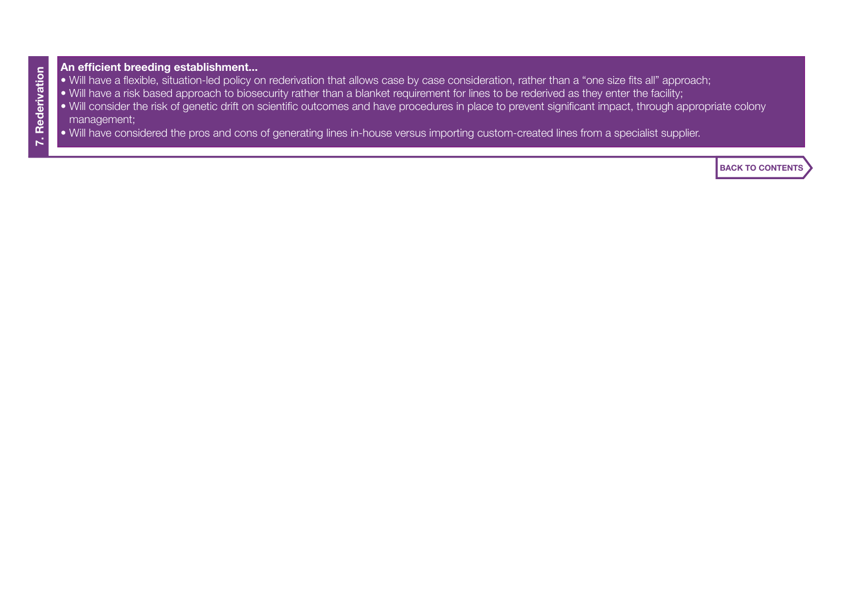#### **An efficient breeding establishment...**

- Will have a flexible, situation-led policy on rederivation that allows case by case consideration, rather than a "one size fits all" approach;
- Will have a risk based approach to biosecurity rather than a blanket requirement for lines to be rederived as they enter the facility;
- Will consider the risk of genetic drift on scientific outcomes and have procedures in place to prevent significant impact, through appropriate colony management;
- Will have considered the pros and cons of generating lines in-house versus importing custom-created lines from a specialist supplier.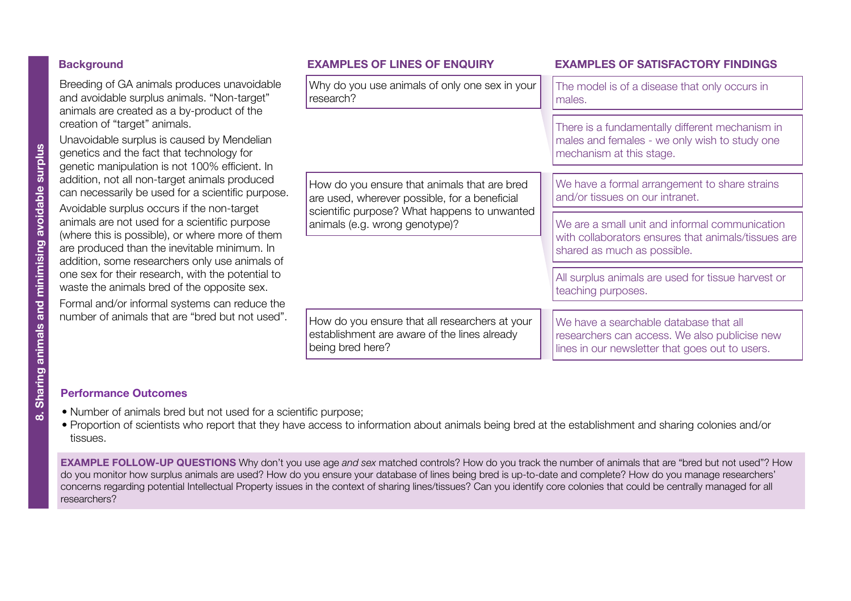# <span id="page-15-0"></span>**Background** Sharples OF LINES OF ENQUIRY EXAMPLES OF SATISFACTORY FINDINGS

Breeding of GA animals produces unavoidable and avoidable surplus animals. "Non-target" animals are created as a by-product of the creation of "target" animals.

Unavoidable surplus is caused by Mendelian genetics and the fact that technology for genetic manipulation is not 100% efficient. In addition, not all non-target animals produced can necessarily be used for a scientific purpose. Avoidable surplus occurs if the non-target animals are not used for a scientific purpose (where this is possible), or where more of them are produced than the inevitable minimum. In addition, some researchers only use animals of one sex for their research, with the potential to waste the animals bred of the opposite sex.

Formal and/or informal systems can reduce the number of animals that are "bred but not used".

| Why do you use animals of only one sex in your<br>research?                                                        | The model is of a disease that only occurs in<br>males.                                                                                    |
|--------------------------------------------------------------------------------------------------------------------|--------------------------------------------------------------------------------------------------------------------------------------------|
|                                                                                                                    | There is a fundamentally different mechanism in<br>males and females - we only wish to study one<br>mechanism at this stage.               |
| How do you ensure that animals that are bred<br>are used, wherever possible, for a beneficial                      | We have a formal arrangement to share strains<br>and/or tissues on our intranet.                                                           |
| scientific purpose? What happens to unwanted<br>animals (e.g. wrong genotype)?                                     | We are a small unit and informal communication<br>with collaborators ensures that animals/tissues are<br>shared as much as possible.       |
|                                                                                                                    | All surplus animals are used for tissue harvest or<br>teaching purposes.                                                                   |
| How do you ensure that all researchers at your<br>establishment are aware of the lines already<br>being bred here? | We have a searchable database that all<br>researchers can access. We also publicise new<br>lines in our newsletter that goes out to users. |

### **Performance Outcomes**

- Number of animals bred but not used for a scientific purpose;
- Proportion of scientists who report that they have access to information about animals being bred at the establishment and sharing colonies and/or tissues.

**EXAMPLE FOLLOW-UP QUESTIONS** Why don't you use age *and sex* matched controls? How do you track the number of animals that are "bred but not used"? How do you monitor how surplus animals are used? How do you ensure your database of lines being bred is up-to-date and complete? How do you manage researchers' concerns regarding potential Intellectual Property issues in the context of sharing lines/tissues? Can you identify core colonies that could be centrally managed for all researchers?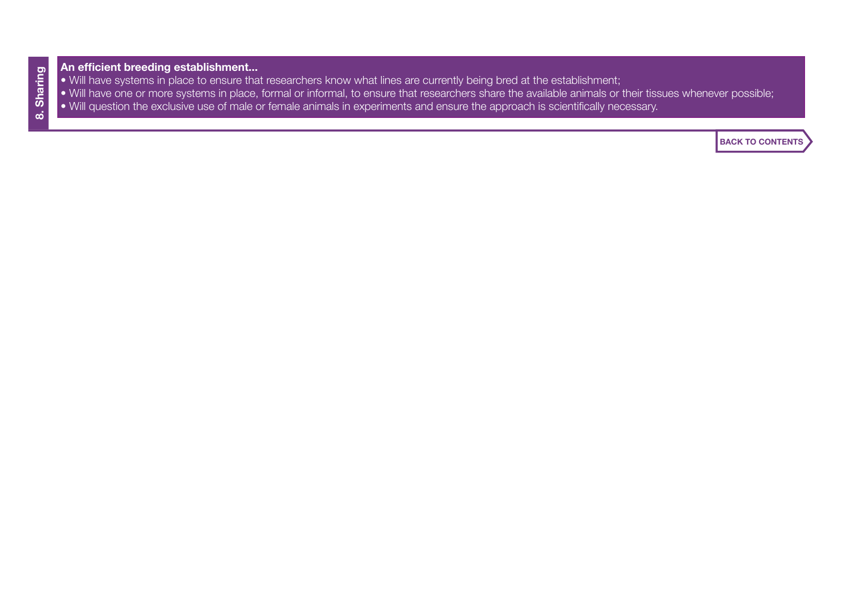# **An efficient breeding establishment...**

- Will have systems in place to ensure that researchers know what lines are currently being bred at the establishment;
- Will have one or more systems in place, formal or informal, to ensure that researchers share the available animals or their tissues whenever possible;
- Will question the exclusive use of male or female animals in experiments and ensure the approach is scientifically necessary.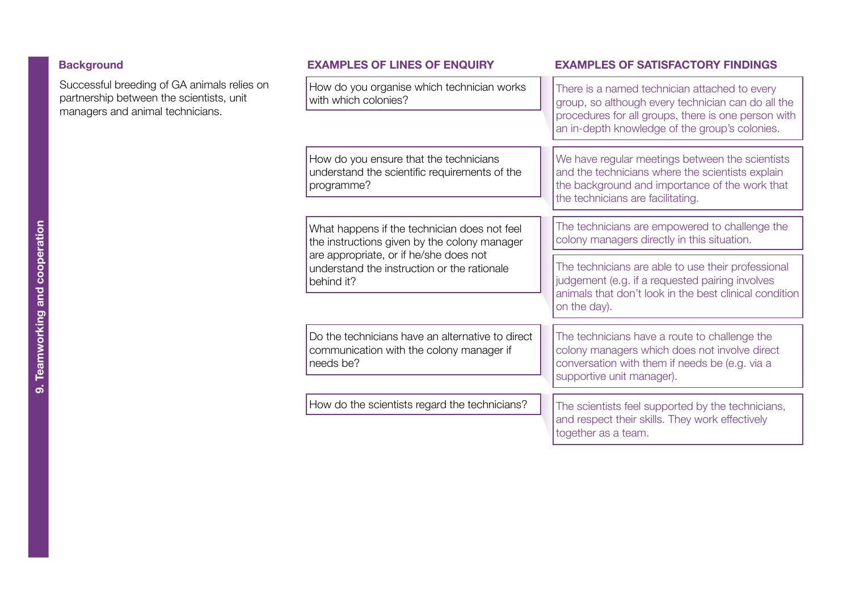# <span id="page-17-0"></span>**Background**

Successful breeding of GA animals relies on partnership between the scientists, unit managers and animal technicians.

How do you organise which technician works with which colonies?

How do you ensure that the technicians understand the scientific requirements of the programme?

What happens if the technician does not feel the instructions given by the colony manager are appropriate, or if he/she does not understand the instruction or the rationale behind it?

Do the technicians have an alternative to direct communication with the colony manager if needs be?

How do the scientists regard the technicians?

#### **Background EXAMPLES OF LINES OF ENQUIRY EXAMPLES OF SATISFACTORY FINDINGS**

There is a named technician attached to every group, so although every technician can do all the procedures for all groups, there is one person with an in-depth knowledge of the group's colonies.

We have regular meetings between the scientists and the technicians where the scientists explain the background and importance of the work that the technicians are facilitating.

The technicians are empowered to challenge the colony managers directly in this situation.

The technicians are able to use their professional judgement (e.g. if a requested pairing involves animals that don't look in the best clinical condition on the day).

The technicians have a route to challenge the colony managers which does not involve direct conversation with them if needs be (e.g. via a supportive unit manager).

The scientists feel supported by the technicians, and respect their skills. They work effectively together as a team.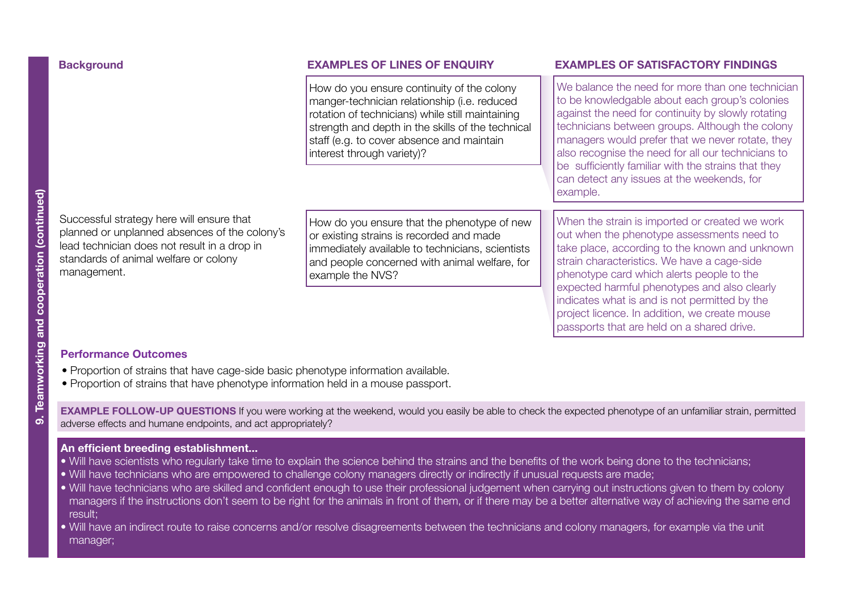How do you ensure continuity of the colony manger-technician relationship (i.e. reduced rotation of technicians) while still maintaining strength and depth in the skills of the technical staff (e.g. to cover absence and maintain interest through variety)?

### **Background EXAMPLES OF LINES OF ENQUIRY EXAMPLES OF SATISFACTORY FINDINGS**

We balance the need for more than one technician to be knowledgable about each group's colonies against the need for continuity by slowly rotating technicians between groups. Although the colony managers would prefer that we never rotate, they also recognise the need for all our technicians to be sufficiently familiar with the strains that they can detect any issues at the weekends, for example.

Successful strategy here will ensure that planned or unplanned absences of the colony's lead technician does not result in a drop in standards of animal welfare or colony management.

How do you ensure that the phenotype of new or existing strains is recorded and made immediately available to technicians, scientists and people concerned with animal welfare, for example the NVS?

When the strain is imported or created we work out when the phenotype assessments need to take place, according to the known and unknown strain characteristics. We have a cage-side phenotype card which alerts people to the expected harmful phenotypes and also clearly indicates what is and is not permitted by the project licence. In addition, we create mouse passports that are held on a shared drive.

### **Performance Outcomes**

- Proportion of strains that have cage-side basic phenotype information available.
- Proportion of strains that have phenotype information held in a mouse passport.

**EXAMPLE FOLLOW-UP QUESTIONS** If you were working at the weekend, would you easily be able to check the expected phenotype of an unfamiliar strain, permitted adverse effects and humane endpoints, and act appropriately?

## **An efficient breeding establishment...**

- Will have scientists who regularly take time to explain the science behind the strains and the benefits of the work being done to the technicians;
- Will have technicians who are empowered to challenge colony managers directly or indirectly if unusual requests are made;
- Will have technicians who are skilled and confident enough to use their professional judgement when carrying out instructions given to them by colony managers if the instructions don't seem to be right for the animals in front of them, or if there may be a better alternative way of achieving the same end result;
- Will have an indirect route to raise concerns and/or resolve disagreements between the technicians and colony managers, for example via the unit manager;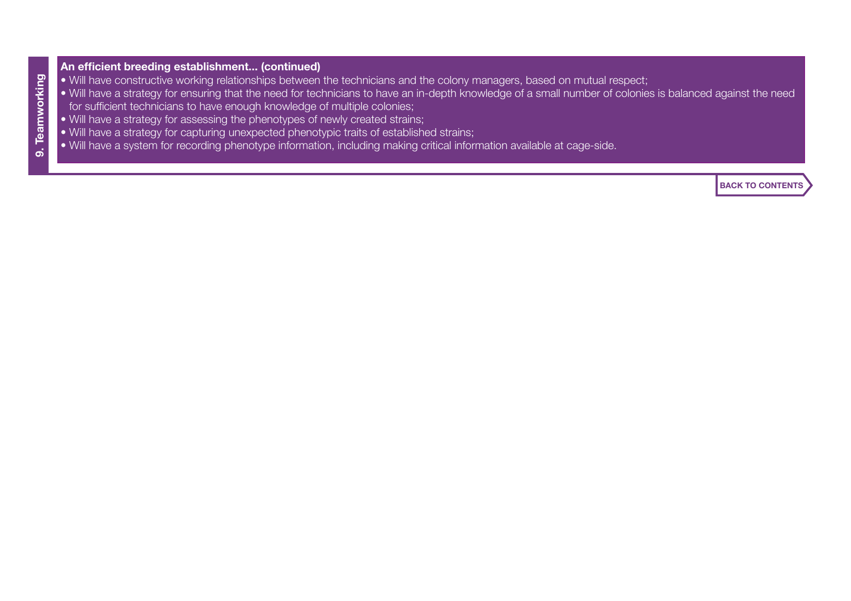# **An efficient breeding establishment... (continued)**

- Will have constructive working relationships between the technicians and the colony managers, based on mutual respect;
- Will have a strategy for ensuring that the need for technicians to have an in-depth knowledge of a small number of colonies is balanced against the need for sufficient technicians to have enough knowledge of multiple colonies;
- Will have a strategy for assessing the phenotypes of newly created strains;
- Will have a strategy for capturing unexpected phenotypic traits of established strains;
- Will have a system for recording phenotype information, including making critical information available at cage-side.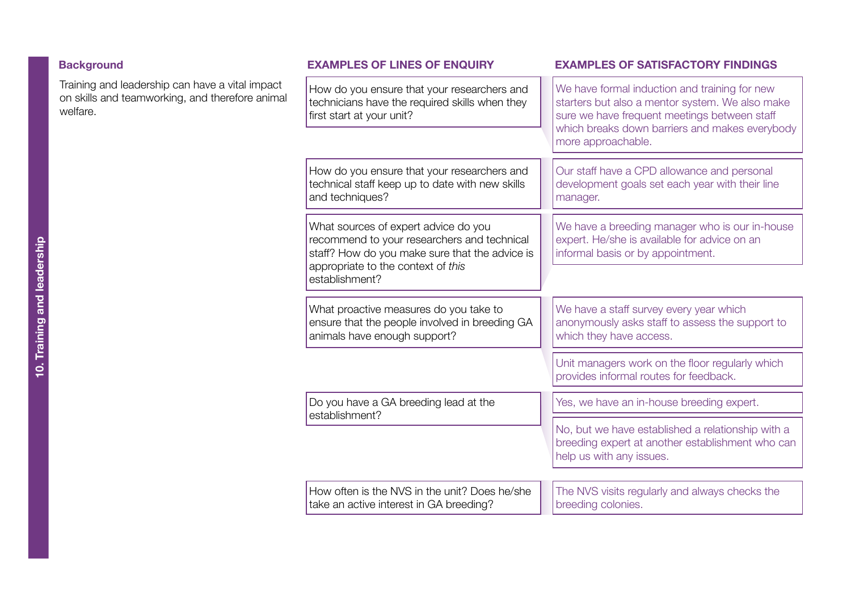<span id="page-20-0"></span>

| <b>Background</b> |  |
|-------------------|--|
|-------------------|--|

| <b>Background</b>                                                                                              | <b>EXAMPLES OF LINES OF ENQUIRY</b>                                                                                                                                         | <b>EXAMPLES OF SATISFACTORY FINDINGS</b>                                                                                                         |
|----------------------------------------------------------------------------------------------------------------|-----------------------------------------------------------------------------------------------------------------------------------------------------------------------------|--------------------------------------------------------------------------------------------------------------------------------------------------|
| Training and leadership can have a vital impact<br>on skills and teamworking, and therefore animal<br>welfare. | How do you ensure that your researchers and<br>technicians have the required skills when they<br>first start at your unit?                                                  | We have formal induction and training for new<br>starters but also a mentor system. We also make<br>sure we have frequent meetings between staff |
|                                                                                                                |                                                                                                                                                                             | which breaks down barriers and makes everybody<br>more approachable.                                                                             |
|                                                                                                                | How do you ensure that your researchers and<br>technical staff keep up to date with new skills<br>and techniques?                                                           | Our staff have a CPD allowance and personal<br>development goals set each year with their line<br>manager.                                       |
|                                                                                                                | What sources of expert advice do you<br>recommend to your researchers and technical<br>staff? How do you make sure that the advice is<br>appropriate to the context of this | We have a breeding manager who is our in-house<br>expert. He/she is available for advice on an<br>informal basis or by appointment.              |
|                                                                                                                | establishment?                                                                                                                                                              |                                                                                                                                                  |
|                                                                                                                | What proactive measures do you take to<br>ensure that the people involved in breeding GA<br>animals have enough support?                                                    | We have a staff survey every year which<br>anonymously asks staff to assess the support to<br>which they have access.                            |
|                                                                                                                |                                                                                                                                                                             | Unit managers work on the floor regularly which<br>provides informal routes for feedback.                                                        |
|                                                                                                                | Do you have a GA breeding lead at the<br>establishment?                                                                                                                     | Yes, we have an in-house breeding expert.                                                                                                        |
|                                                                                                                |                                                                                                                                                                             | No, but we have established a relationship with a<br>breeding expert at another establishment who can<br>help us with any issues.                |
|                                                                                                                | How often is the NVS in the unit? Does he/she<br>take an active interest in GA breeding?                                                                                    | The NVS visits regularly and always checks the<br>breeding colonies.                                                                             |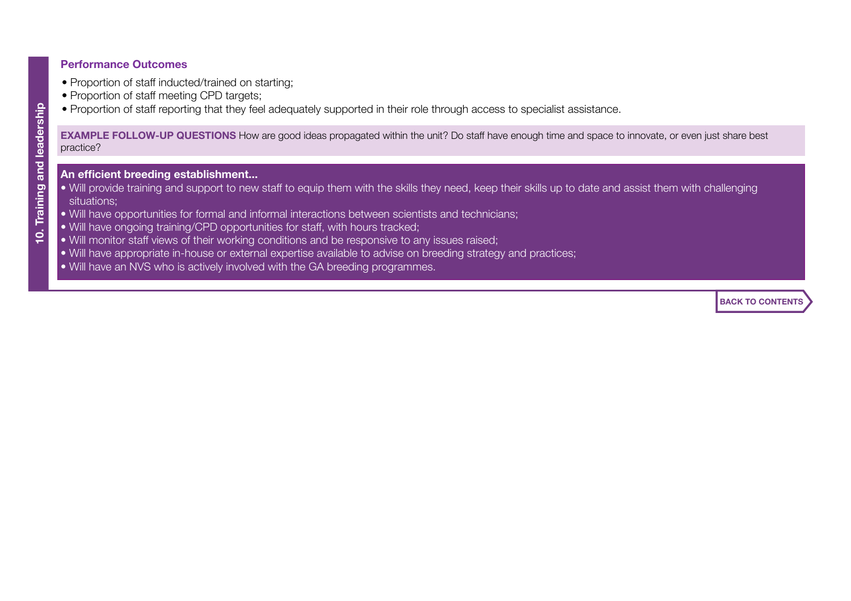### **Performance Outcomes**

- Proportion of staff inducted/trained on starting;
- Proportion of staff meeting CPD targets;
- Proportion of staff reporting that they feel adequately supported in their role through access to specialist assistance.

**EXAMPLE FOLLOW-UP QUESTIONS** How are good ideas propagated within the unit? Do staff have enough time and space to innovate, or even just share best practice?

- **An efficient breeding establishment...**
- Will provide training and support to new staff to equip them with the skills they need, keep their skills up to date and assist them with challenging situations;
- Will have opportunities for formal and informal interactions between scientists and technicians;
- Will have ongoing training/CPD opportunities for staff, with hours tracked;
- Will monitor staff views of their working conditions and be responsive to any issues raised;
- Will have appropriate in-house or external expertise available to advise on breeding strategy and practices;
- Will have an NVS who is actively involved with the GA breeding programmes.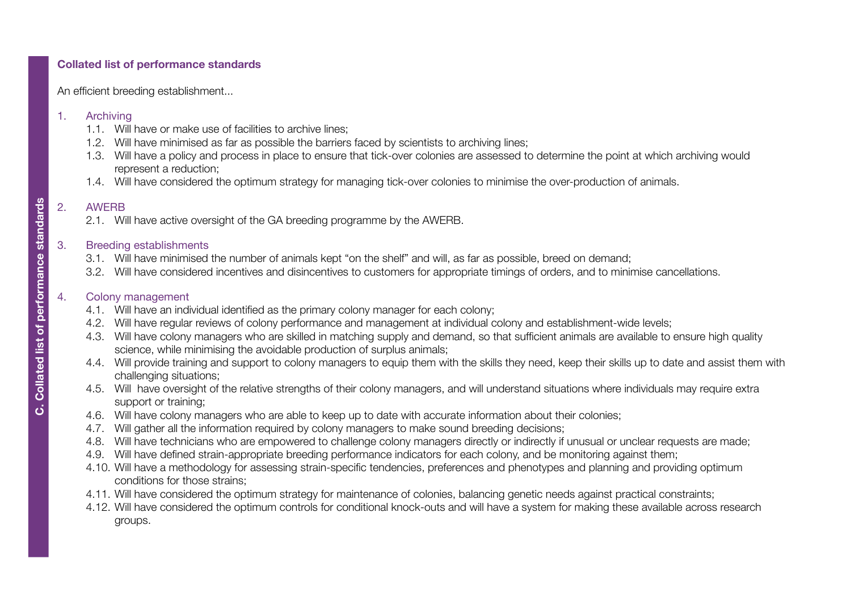# <span id="page-22-0"></span>**Collated list of performance standards**

An efficient breeding establishment...

### 1. [Archiving](#page-2-0)

- 1.1. Will have or make use of facilities to archive lines;
- 1.2. Will have minimised as far as possible the barriers faced by scientists to archiving lines;
- 1.3. Will have a policy and process in place to ensure that tick-over colonies are assessed to determine the point at which archiving would represent a reduction;
- 1.4. Will have considered the optimum strategy for managing tick-over colonies to minimise the over-production of animals.

# 2. [AWERB](#page-4-0)

2.1. Will have active oversight of the GA breeding programme by the AWERB.

# 3. [Breeding establishments](#page-5-0)

- 3.1. Will have minimised the number of animals kept "on the shelf" and will, as far as possible, breed on demand;
- 3.2. Will have considered incentives and disincentives to customers for appropriate timings of orders, and to minimise cancellations.

# 4. Colony management

- 4.1. Will have an individual identified as the primary colony manager for each colony;
- 4.2. Will have regular reviews of colony performance and management at individual colony and establishment-wide levels;
- 4.3. Will have colony managers who are skilled in matching supply and demand, so that sufficient animals are available to ensure high quality science, while minimising the avoidable production of surplus animals;
- 4.4. Will provide training and support to colony managers to equip them with the skills they need, keep their skills up to date and assist them with challenging situations;
- 4.5. Will have oversight of the relative strengths of their colony managers, and will understand situations where individuals may require extra support or training;
- 4.6. Will have colony managers who are able to keep up to date with accurate information about their colonies;
- 4.7. Will gather all the information required by colony managers to make sound breeding decisions;
- 4.8. Will have technicians who are empowered to challenge colony managers directly or indirectly if unusual or unclear requests are made;
- 4.9. Will have defined strain-appropriate breeding performance indicators for each colony, and be monitoring against them;
- 4.10. Will have a methodology for assessing strain-specific tendencies, preferences and phenotypes and planning and providing optimum conditions for those strains;
- 4.11. Will have considered the optimum strategy for maintenance of colonies, balancing genetic needs against practical constraints;
- 4.12. Will have considered the optimum controls for conditional knock-outs and will have a system for making these available across research groups.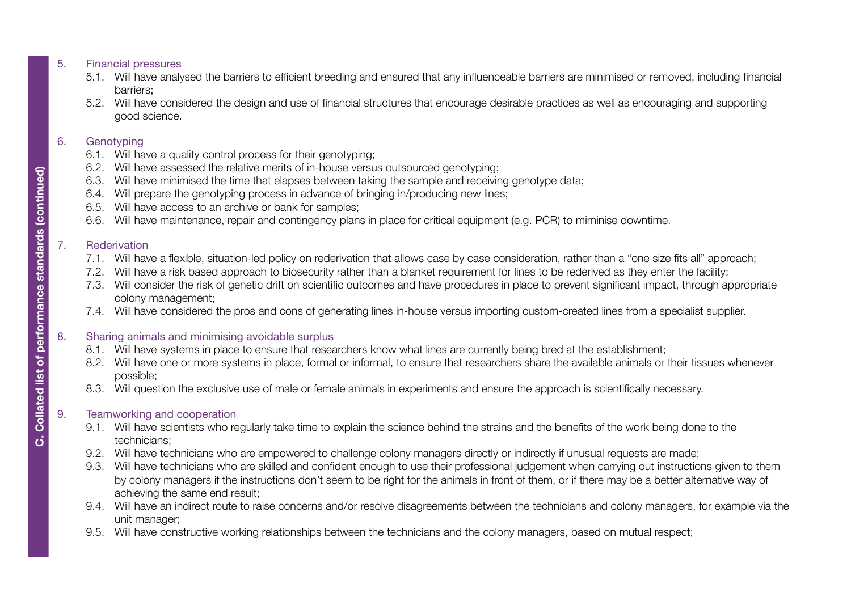# 5. [Financial pressures](#page-10-0)

- 5.1. Will have analysed the barriers to efficient breeding and ensured that any influenceable barriers are minimised or removed, including financial barriers;
- 5.2. Will have considered the design and use of financial structures that encourage desirable practices as well as encouraging and supporting good science.

# 6. [Genotyping](#page-11-0)

- 6.1. Will have a quality control process for their genotyping;
- 6.2. Will have assessed the relative merits of in-house versus outsourced genotyping;
- 6.3. Will have minimised the time that elapses between taking the sample and receiving genotype data;
- 6.4. Will prepare the genotyping process in advance of bringing in/producing new lines;
- 6.5. Will have access to an archive or bank for samples;
- 6.6. Will have maintenance, repair and contingency plans in place for critical equipment (e.g. PCR) to miminise downtime.

# 7. [Rederivation](#page-13-0)

- 7.1. Will have a flexible, situation-led policy on rederivation that allows case by case consideration, rather than a "one size fits all" approach;
- 7.2. Will have a risk based approach to biosecurity rather than a blanket requirement for lines to be rederived as they enter the facility;
- 7.3. Will consider the risk of genetic drift on scientific outcomes and have procedures in place to prevent significant impact, through appropriate colony management;
- 7.4. Will have considered the pros and cons of generating lines in-house versus importing custom-created lines from a specialist supplier.

# 8. Sharing animals and minimising avoidable surplus

- 8.1. Will have systems in place to ensure that researchers know what lines are currently being bred at the establishment;
- 8.2. Will have one or more systems in place, formal or informal, to ensure that researchers share the available animals or their tissues whenever possible;
- 8.3. Will question the exclusive use of male or female animals in experiments and ensure the approach is scientifically necessary.

# 9. Teamworking and cooperation

- 9.1. Will have scientists who regularly take time to explain the science behind the strains and the benefits of the work being done to the technicians;
- 9.2. Will have technicians who are empowered to challenge colony managers directly or indirectly if unusual requests are made;
- 9.3. Will have technicians who are skilled and confident enough to use their professional judgement when carrying out instructions given to them by colony managers if the instructions don't seem to be right for the animals in front of them, or if there may be a better alternative way of achieving the same end result;
- 9.4. Will have an indirect route to raise concerns and/or resolve disagreements between the technicians and colony managers, for example via the unit manager;
- 9.5. Will have constructive working relationships between the technicians and the colony managers, based on mutual respect;